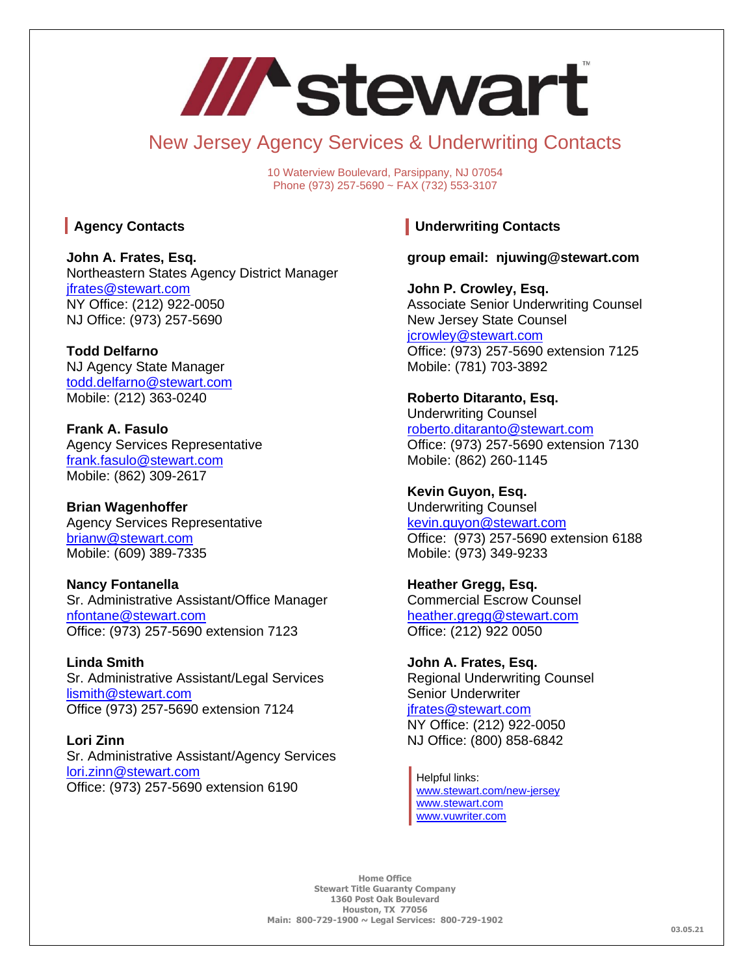# /// stewart

# New Jersey Agency Services & Underwriting Contacts

10 Waterview Boulevard, Parsippany, NJ 07054 Phone (973) 257-5690 ~ FAX (732) 553-3107

### **Agency Contacts**

**John A. Frates, Esq.** Northeastern States Agency District Manager [jfrates@stewart.com](mailto:jfrates@stewart.com) NY Office: (212) 922-0050 NJ Office: (973) 257-5690

**Todd Delfarno** NJ Agency State Manager [todd.delfarno@stewart.com](mailto:todd.delfarno@stewart.com) Mobile: (212) 363-0240

**Frank A. Fasulo** Agency Services Representative [frank.fasulo@stewart.com](mailto:frank.fasulo@stewart.com) Mobile: (862) 309-2617

**Brian Wagenhoffer** Agency Services Representative [brianw@stewart.com](mailto:brianw@stewart.com) Mobile: (609) 389-7335

**Nancy Fontanella**  Sr. Administrative Assistant/Office Manager [nfontane@stewart.com](mailto:nfontane@stewart.com) Office: (973) 257-5690 extension 7123

**Linda Smith** Sr. Administrative Assistant/Legal Services [lismith@stewart.com](mailto:lismith@stewart.com) Office (973) 257-5690 extension 7124

**Lori Zinn** Sr. Administrative Assistant/Agency Services [lori.zinn@stewart.com](mailto:lori.zinn@stewart.com) Office: (973) 257-5690 extension 6190

## **Underwriting Contacts**

**group email: njuwing@stewart.com**

**John P. Crowley, Esq.** Associate Senior Underwriting Counsel New Jersey State Counsel [jcrowley@stewart.com](mailto:jcrowley@stewart.com) Office: (973) 257-5690 extension 7125 Mobile: (781) 703-3892

**Roberto Ditaranto, Esq.** Underwriting Counsel [roberto.ditaranto@stewart.com](mailto:roberto.ditaranto@stewart.com) Office: (973) 257-5690 extension 7130 Mobile: (862) 260-1145

**Kevin Guyon, Esq.** Underwriting Counsel [kevin.guyon@stewart.com](mailto:kevin.guyon@stewart.com) Office: (973) 257-5690 extension 6188 Mobile: (973) 349-9233

**Heather Gregg, Esq.** Commercial Escrow Counsel [heather.gregg@stewart.com](mailto:heather.gregg@stewart.com) Office: (212) 922 0050

**John A. Frates, Esq.** Regional Underwriting Counsel Senior Underwriter [jfrates@stewart.com](mailto:jfrates@stewart.com) NY Office: (212) 922-0050 NJ Office: (800) 858-6842

Helpful links: [www.stewart.com/new-jersey](http://www.stewart.com/new-jersey) [www.stewart.com](http://www.stewart.com/) [www.vuwriter.com](http://www.vuwriter.com/)

**Home Office Stewart Title Guaranty Company 1360 Post Oak Boulevard Houston, TX 77056 Main: 800-729-1900 ~ Legal Services: 800-729-1902**